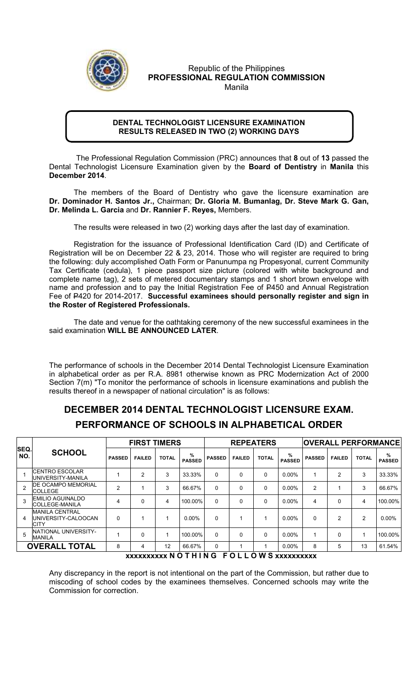

## Republic of the Philippines PROFESSIONAL REGULATION COMMISSION Manila

## DENTAL TECHNOLOGIST LICENSURE EXAMINATION RESULTS RELEASED IN TWO (2) WORKING DAYS

 The Professional Regulation Commission (PRC) announces that 8 out of 13 passed the Dental Technologist Licensure Examination given by the **Board of Dentistry** in Manila this December 2014.

The members of the Board of Dentistry who gave the licensure examination are Dr. Dominador H. Santos Jr., Chairman; Dr. Gloria M. Bumanlag, Dr. Steve Mark G. Gan, Dr. Melinda L. Garcia and Dr. Rannier F. Reyes, Members.

The results were released in two (2) working days after the last day of examination.

 Registration for the issuance of Professional Identification Card (ID) and Certificate of Registration will be on December 22 & 23, 2014. Those who will register are required to bring the following: duly accomplished Oath Form or Panunumpa ng Propesyonal, current Community Tax Certificate (cedula), 1 piece passport size picture (colored with white background and complete name tag), 2 sets of metered documentary stamps and 1 short brown envelope with name and profession and to pay the Initial Registration Fee of P450 and Annual Registration Fee of P420 for 2014-2017. Successful examinees should personally register and sign in the Roster of Registered Professionals.

The date and venue for the oathtaking ceremony of the new successful examinees in the said examination WILL BE ANNOUNCED LATER.

The performance of schools in the December 2014 Dental Technologist Licensure Examination in alphabetical order as per R.A. 8981 otherwise known as PRC Modernization Act of 2000 Section 7(m) "To monitor the performance of schools in licensure examinations and publish the results thereof in a newspaper of national circulation" is as follows:

## DECEMBER 2014 DENTAL TECHNOLOGIST LICENSURE EXAM. PERFORMANCE OF SCHOOLS IN ALPHABETICAL ORDER

| SEQ.<br>NO.          | <b>SCHOOL</b>                                               | <b>FIRST TIMERS</b> |               |              |                       | <b>REPEATERS</b> |               |              |                    | <b>OVERALL PERFORMANCE</b> |                |               |                    |
|----------------------|-------------------------------------------------------------|---------------------|---------------|--------------|-----------------------|------------------|---------------|--------------|--------------------|----------------------------|----------------|---------------|--------------------|
|                      |                                                             | <b>PASSED</b>       | <b>FAILED</b> | <b>TOTAL</b> | $\%$<br><b>PASSED</b> | <b>PASSED</b>    | <b>FAILED</b> | <b>TOTAL</b> | %<br><b>PASSED</b> | <b>PASSED</b>              | <b>FAILED</b>  | <b>TOTAL</b>  | %<br><b>PASSED</b> |
|                      | <b>ICENTRO ESCOLAR</b><br>UNIVERSITY-MANILA                 |                     | 2             | 3            | 33.33%                | $\Omega$         | 0             | 0            | $0.00\%$           |                            | $\overline{2}$ | 3             | 33.33%             |
| $\mathcal{P}$        | <b>IDE OCAMPO MEMORIAL</b><br><b>COLLEGE</b>                | $\overline{2}$      |               | 3            | 66.67%                | $\Omega$         | 0             | $\Omega$     | $0.00\%$           | $\overline{2}$             |                | 3             | 66.67%             |
| 3                    | <b>EMILIO AGUINALDO</b><br><b>COLLEGE-MANILA</b>            | 4                   | 0             | 4            | 100.00%               | $\Omega$         | 0             | $\Omega$     | $0.00\%$           | 4                          | $\Omega$       | 4             | 100.00%            |
| 4                    | <b>MANILA CENTRAL</b><br>UNIVERSITY-CALOOCAN<br><b>CITY</b> | $\Omega$            |               |              | $0.00\%$              | $\Omega$         |               |              | $0.00\%$           | $\Omega$                   | $\mathfrak{p}$ | $\mathcal{P}$ | $0.00\%$           |
| 5                    | <b>NATIONAL UNIVERSITY-</b><br><b>MANILA</b>                |                     | 0             |              | 100.00%               | $\Omega$         | 0             | $\Omega$     | $0.00\%$           |                            | $\Omega$       |               | 100.00%            |
| <b>OVERALL TOTAL</b> |                                                             | 8                   | 4             | 12           | 66.67%                | $\Omega$         |               |              | $0.00\%$           | 8                          | 5              | 13            | 61.54%             |

xxxxxxxxxx N O T H I N G F O L L O W S xxxxxxxxxx

Any discrepancy in the report is not intentional on the part of the Commission, but rather due to miscoding of school codes by the examinees themselves. Concerned schools may write the Commission for correction.